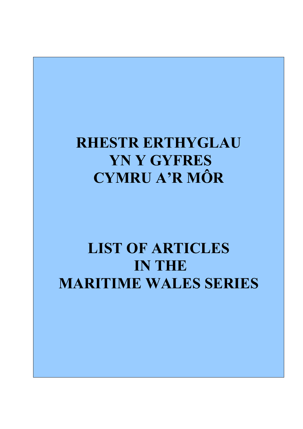# **RHESTR ERTHYGLAU YN Y GYFRES CYMRU A'R MÔR**

# **LIST OF ARTICLES IN THE MARITIME WALES SERIES**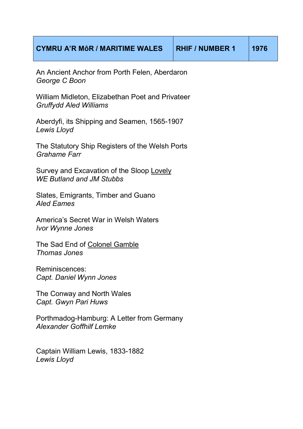An Ancient Anchor from Porth Felen, Aberdaron *George C Boon* 

William Midleton, Elizabethan Poet and Privateer *Gruffydd Aled Williams* 

Aberdyfi, its Shipping and Seamen, 1565-1907 *Lewis Lloyd* 

The Statutory Ship Registers of the Welsh Ports *Grahame Farr*

Survey and Excavation of the Sloop Lovely *WE Butland and JM Stubbs*

Slates, Emigrants, Timber and Guano *Aled Eames*

America's Secret War in Welsh Waters *Ivor Wynne Jones*

The Sad End of Colonel Gamble *Thomas Jones*

Reminiscences: *Capt. Daniel Wynn Jones*

The Conway and North Wales *Capt. Gwyn Pari Huws* 

Porthmadog-Hamburg: A Letter from Germany *Alexander Goffhilf Lemke*

Captain William Lewis, 1833-1882 *Lewis Lloyd*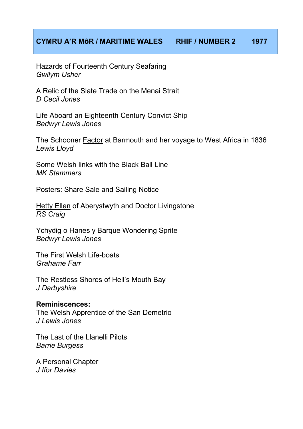Hazards of Fourteenth Century Seafaring *Gwilym Usher* 

A Relic of the Slate Trade on the Menai Strait *D Cecil Jones* 

Life Aboard an Eighteenth Century Convict Ship *Bedwyr Lewis Jones* 

The Schooner Factor at Barmouth and her voyage to West Africa in 1836 *Lewis Lloyd* 

Some Welsh links with the Black Ball Line *MK Stammers* 

Posters: Share Sale and Sailing Notice

Hetty Ellen of Aberystwyth and Doctor Livingstone *RS Craig* 

Ychydig o Hanes y Barque Wondering Sprite *Bedwyr Lewis Jones* 

The First Welsh Life-boats *Grahame Farr* 

The Restless Shores of Hell's Mouth Bay *J Darbyshire* 

#### **Reminiscences:**

The Welsh Apprentice of the San Demetrio *J Lewis Jones* 

The Last of the Llanelli Pilots *Barrie Burgess* 

A Personal Chapter *J Ifor Davies*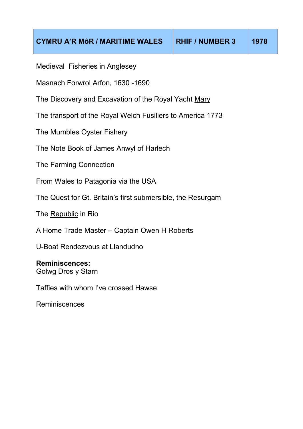Medieval Fisheries in Anglesey

Masnach Forwrol Arfon, 1630 -1690

The Discovery and Excavation of the Royal Yacht Mary

The transport of the Royal Welch Fusiliers to America 1773

The Mumbles Oyster Fishery

The Note Book of James Anwyl of Harlech

The Farming Connection

From Wales to Patagonia via the USA

The Quest for Gt. Britain's first submersible, the Resurgam

The Republic in Rio

A Home Trade Master – Captain Owen H Roberts

U-Boat Rendezvous at Llandudno

### **Reminiscences:**

Golwg Dros y Starn

Taffies with whom I've crossed Hawse

Reminiscences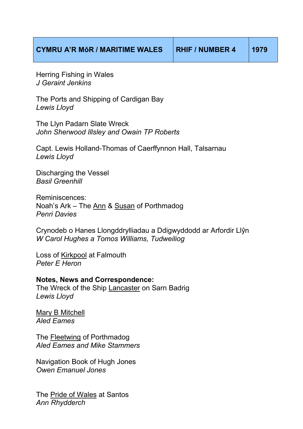Herring Fishing in Wales *J Geraint Jenkins* 

The Ports and Shipping of Cardigan Bay *Lewis Lloyd*

The Llyn Padarn Slate Wreck *John Sherwood Illsley and Owain TP Roberts*

Capt. Lewis Holland-Thomas of Caerffynnon Hall, Talsarnau *Lewis Lloyd*

Discharging the Vessel *Basil Greenhill*

Reminiscences: Noah's Ark – The Ann & Susan of Porthmadog *Penri Davies* 

Crynodeb o Hanes Llongddrylliadau a Ddigwyddodd ar Arfordir Llŷn *W Carol Hughes a Tomos Williams, Tudweiliog* 

Loss of Kirkpool at Falmouth *Peter E Heron*

**Notes, News and Correspondence:**  The Wreck of the Ship Lancaster on Sarn Badrig *Lewis Lloyd*

Mary B Mitchell *Aled Eames*

The Fleetwing of Porthmadog *Aled Eames and Mike Stammers*

Navigation Book of Hugh Jones *Owen Emanuel Jones*

The Pride of Wales at Santos *Ann Rhydderch*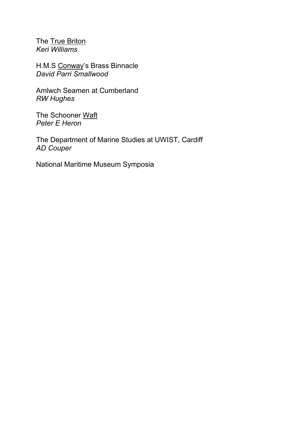The True Briton *Keri Williams* 

H.M.S Conway's Brass Binnacle *David Parri Smallwood*

Amlwch Seamen at Cumberland *RW Hughes* 

The Schooner Waft *Peter E Heron*

The Department of Marine Studies at UWIST, Cardiff *AD Couper* 

National Maritime Museum Symposia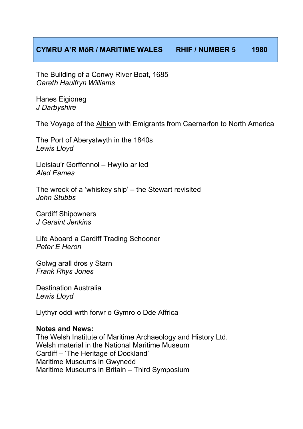| <b>CYMRU A'R MÔR / MARITIME WALES</b> | <b>RHIF / NUMBER 5</b> | 1980 |
|---------------------------------------|------------------------|------|
|---------------------------------------|------------------------|------|

The Building of a Conwy River Boat, 1685 *Gareth Haulfryn Williams* 

Hanes Eigioneg *J Darbyshire*

The Voyage of the Albion with Emigrants from Caernarfon to North America

The Port of Aberystwyth in the 1840s *Lewis Lloyd*

Lleisiau'r Gorffennol – Hwylio ar led *Aled Eames*

The wreck of a 'whiskey ship' – the Stewart revisited *John Stubbs*

Cardiff Shipowners *J Geraint Jenkins*

Life Aboard a Cardiff Trading Schooner *Peter E Heron*

Golwg arall dros y Starn *Frank Rhys Jones*

Destination Australia *Lewis Lloyd*

Llythyr oddi wrth forwr o Gymro o Dde Affrica

#### **Notes and News:**

The Welsh Institute of Maritime Archaeology and History Ltd. Welsh material in the National Maritime Museum Cardiff – 'The Heritage of Dockland' Maritime Museums in Gwynedd Maritime Museums in Britain – Third Symposium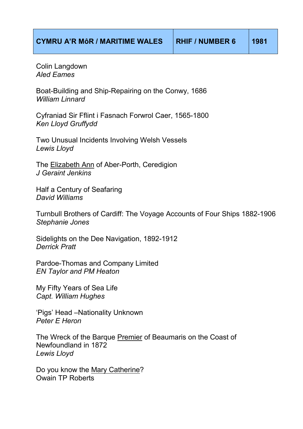Colin Langdown *Aled Eames*

Boat-Building and Ship-Repairing on the Conwy, 1686 *William Linnard*

Cyfraniad Sir Fflint i Fasnach Forwrol Caer, 1565-1800 *Ken Lloyd Gruffydd*

Two Unusual Incidents Involving Welsh Vessels *Lewis Lloyd*

The Elizabeth Ann of Aber-Porth, Ceredigion *J Geraint Jenkins*

Half a Century of Seafaring *David Williams*

Turnbull Brothers of Cardiff: The Voyage Accounts of Four Ships 1882-1906 *Stephanie Jones*

Sidelights on the Dee Navigation, 1892-1912 *Derrick Pratt*

Pardoe-Thomas and Company Limited *EN Taylor and PM Heaton*

My Fifty Years of Sea Life *Capt. William Hughes*

'Pigs' Head –Nationality Unknown *Peter E Heron* 

The Wreck of the Barque Premier of Beaumaris on the Coast of Newfoundland in 1872 *Lewis Lloyd*

Do you know the Mary Catherine? Owain TP Roberts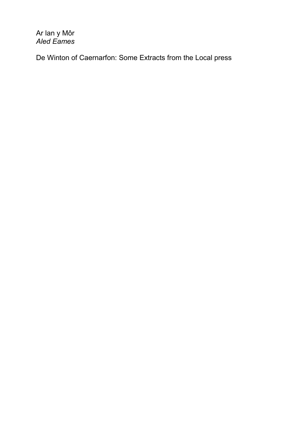Ar lan y Môr *Aled Eames*

De Winton of Caernarfon: Some Extracts from the Local press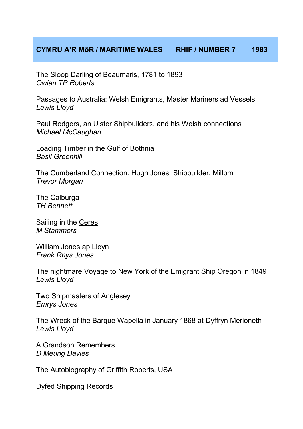The Sloop Darling of Beaumaris, 1781 to 1893 *Owian TP Roberts*

Passages to Australia: Welsh Emigrants, Master Mariners ad Vessels *Lewis Lloyd*

Paul Rodgers, an Ulster Shipbuilders, and his Welsh connections *Michael McCaughan*

Loading Timber in the Gulf of Bothnia *Basil Greenhill*

The Cumberland Connection: Hugh Jones, Shipbuilder, Millom *Trevor Morgan*

The Calburga *TH Bennett* 

Sailing in the Ceres *M Stammers*

William Jones ap Lleyn *Frank Rhys Jones*

The nightmare Voyage to New York of the Emigrant Ship Oregon in 1849 *Lewis Lloyd*

Two Shipmasters of Anglesey *Emrys Jones*

The Wreck of the Barque Wapella in January 1868 at Dyffryn Merioneth *Lewis Lloyd*

A Grandson Remembers *D Meurig Davies*

The Autobiography of Griffith Roberts, USA

Dyfed Shipping Records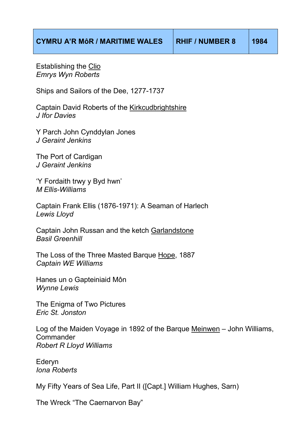Establishing the Clio *Emrys Wyn Roberts*

Ships and Sailors of the Dee, 1277-1737

Captain David Roberts of the Kirkcudbrightshire *J Ifor Davies* 

Y Parch John Cynddylan Jones *J Geraint Jenkins*

The Port of Cardigan *J Geraint Jenkins* 

'Y Fordaith trwy y Byd hwn' *M Ellis-Williams*

Captain Frank Ellis (1876-1971): A Seaman of Harlech *Lewis Lloyd*

Captain John Russan and the ketch Garlandstone *Basil Greenhill*

The Loss of the Three Masted Barque Hope, 1887 *Captain WE Williams* 

Hanes un o Gapteiniaid Môn *Wynne Lewis*

The Enigma of Two Pictures *Eric St. Jonston*

Log of the Maiden Voyage in 1892 of the Barque Meinwen – John Williams, **Commander** *Robert R Lloyd Williams*

Ederyn *Iona Roberts*

My Fifty Years of Sea Life, Part II ([Capt.] William Hughes, Sarn)

The Wreck "The Caernarvon Bay"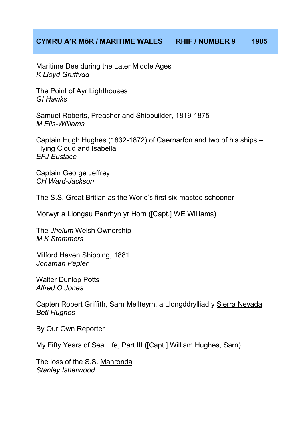Maritime Dee during the Later Middle Ages *K Lloyd Gruffydd* 

The Point of Ayr Lighthouses *GI Hawks*

Samuel Roberts, Preacher and Shipbuilder, 1819-1875 *M Elis-Williams*

Captain Hugh Hughes (1832-1872) of Caernarfon and two of his ships – Flying Cloud and Isabella *EFJ Eustace*

Captain George Jeffrey *CH Ward-Jackson*

The S.S. Great Britian as the World's first six-masted schooner

Morwyr a Llongau Penrhyn yr Horn ([Capt.] WE Williams)

The *Jhelum* Welsh Ownership *M K Stammers*

Milford Haven Shipping, 1881 *Jonathan Pepler*

Walter Dunlop Potts *Alfred O Jones*

Capten Robert Griffith, Sarn Mellteyrn, a Llongddrylliad y Sierra Nevada *Beti Hughes* 

By Our Own Reporter

My Fifty Years of Sea Life, Part III ([Capt.] William Hughes, Sarn)

The loss of the S.S. Mahronda *Stanley Isherwood*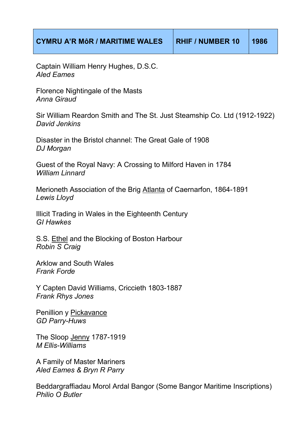Captain William Henry Hughes, D.S.C. *Aled Eames*

Florence Nightingale of the Masts *Anna Giraud*

Sir William Reardon Smith and The St. Just Steamship Co. Ltd (1912-1922) *David Jenkins* 

Disaster in the Bristol channel: The Great Gale of 1908 *DJ Morgan*

Guest of the Royal Navy: A Crossing to Milford Haven in 1784 *William Linnard* 

Merioneth Association of the Brig Atlanta of Caernarfon, 1864-1891 *Lewis Lloyd*

Illicit Trading in Wales in the Eighteenth Century *GI Hawkes* 

S.S. Ethel and the Blocking of Boston Harbour *Robin S Craig* 

Arklow and South Wales *Frank Forde*

Y Capten David Williams, Criccieth 1803-1887 *Frank Rhys Jones* 

Penillion y Pickavance *GD Parry-Huws* 

The Sloop Jenny 1787-1919 *M Ellis-Williams*

A Family of Master Mariners *Aled Eames & Bryn R Parry* 

Beddargraffiadau Morol Ardal Bangor (Some Bangor Maritime Inscriptions) *Philio O Butler*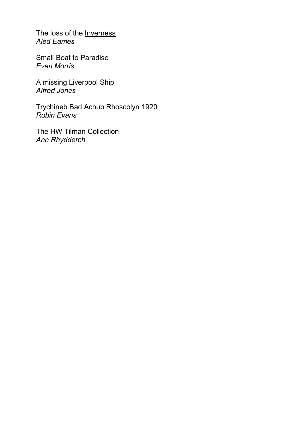The loss of the **Inverness** *Aled Eames* 

Small Boat to Paradise *Evan Morris* 

A missing Liverpool Ship *Alfred Jones* 

Trychineb Bad Achub Rhoscolyn 1920 *Robin Evans*

The HW Tilman Collection *Ann Rhydderch*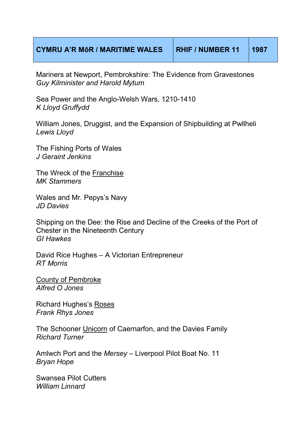## **CYMRU A'R MôR / MARITIME WALES RHIF / NUMBER 11 1987**

Mariners at Newport, Pembrokshire: The Evidence from Gravestones *Guy Kilminister and Harold Mytum* 

Sea Power and the Anglo-Welsh Wars, 1210-1410 *K Lloyd Gruffydd*

William Jones, Druggist, and the Expansion of Shipbuilding at Pwllheli *Lewis Lloyd*

The Fishing Ports of Wales *J Geraint Jenkins* 

The Wreck of the Franchise *MK Stammers*

Wales and Mr. Pepys's Navy *JD Davies*

Shipping on the Dee: the Rise and Decline of the Creeks of the Port of Chester in the Nineteenth Century *GI Hawkes*

David Rice Hughes – A Victorian Entrepreneur *RT Morris* 

County of Pembroke *Alfred O Jones*

Richard Hughes's Roses *Frank Rhys Jones* 

The Schooner Unicorn of Caernarfon, and the Davies Family *Richard Turner*

Amlwch Port and the *Mersey* – Liverpool Pilot Boat No. 11 *Bryan Hope*

Swansea Pilot Cutters *William Linnard*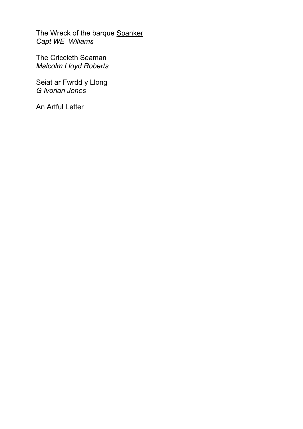The Wreck of the barque **Spanker** *Capt WE Wiliams* 

The Criccieth Seaman *Malcolm Lloyd Roberts* 

Seiat ar Fwrdd y Llong *G Ivorian Jones*

An Artful Letter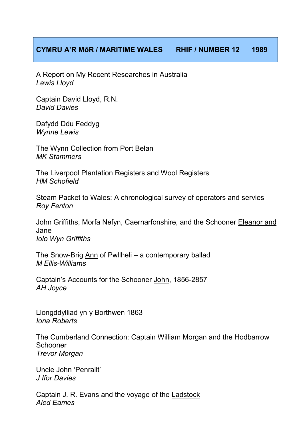A Report on My Recent Researches in Australia *Lewis Lloyd*

Captain David Lloyd, R.N. *David Davies*

Dafydd Ddu Feddyg *Wynne Lewis* 

The Wynn Collection from Port Belan *MK Stammers*

The Liverpool Plantation Registers and Wool Registers *HM Schofield*

Steam Packet to Wales: A chronological survey of operators and servies *Roy Fenton*

John Griffiths, Morfa Nefyn, Caernarfonshire, and the Schooner Eleanor and Jane *Iolo Wyn Griffiths*

The Snow-Brig Ann of Pwllheli – a contemporary ballad *M Ellis-Williams*

Captain's Accounts for the Schooner John, 1856-2857 *AH Joyce*

Llongddylliad yn y Borthwen 1863 *Iona Roberts*

The Cumberland Connection: Captain William Morgan and the Hodbarrow Schooner *Trevor Morgan*

Uncle John 'Penrallt' *J Ifor Davies*

Captain J. R. Evans and the voyage of the Ladstock *Aled Eames*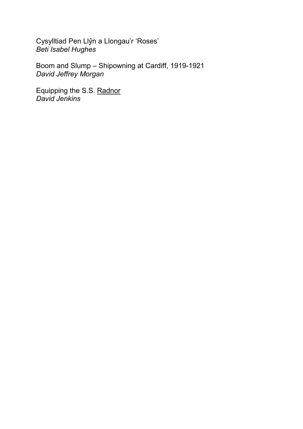Cysylltiad Pen Llŷn a Llongau'r 'Roses' *Beti Isabel Hughes*

Boom and Slump – Shipowning at Cardiff, 1919-1921 *David Jeffrey Morgan*

Equipping the S.S. Radnor *David Jenkins*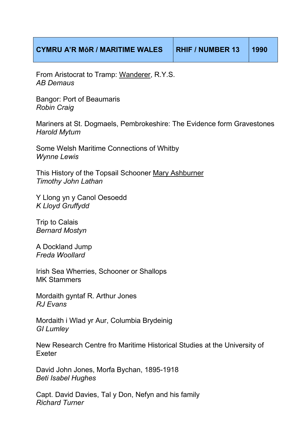| <b>CYMRU A'R MÔR / MARITIME WALES</b> | <b>RHIF / NUMBER 13</b> | $\vert$ 1990 |
|---------------------------------------|-------------------------|--------------|
|---------------------------------------|-------------------------|--------------|

From Aristocrat to Tramp: Wanderer, R.Y.S. *AB Demaus*

Bangor: Port of Beaumaris *Robin Craig*

Mariners at St. Dogmaels, Pembrokeshire: The Evidence form Gravestones *Harold Mytum*

Some Welsh Maritime Connections of Whitby *Wynne Lewis*

This History of the Topsail Schooner Mary Ashburner *Timothy John Lathan*

Y Llong yn y Canol Oesoedd *K Lloyd Gruffydd*

Trip to Calais *Bernard Mostyn*

A Dockland Jump *Freda Woollard*

Irish Sea Wherries, Schooner or Shallops MK Stammers

Mordaith gyntaf R. Arthur Jones *RJ Evans*

Mordaith i Wlad yr Aur, Columbia Brydeinig *GI Lumley*

New Research Centre fro Maritime Historical Studies at the University of Exeter

David John Jones, Morfa Bychan, 1895-1918 *Beti Isabel Hughes*

Capt. David Davies, Tal y Don, Nefyn and his family *Richard Turner*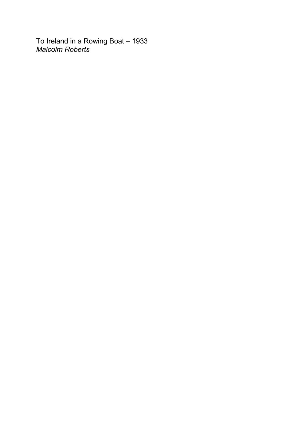To Ireland in a Rowing Boat – 1933 *Malcolm Roberts*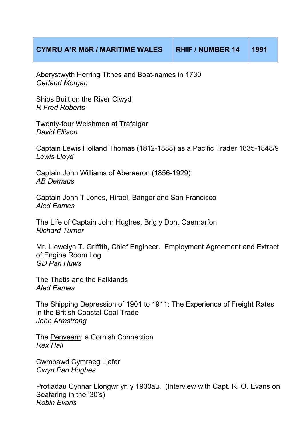Aberystwyth Herring Tithes and Boat-names in 1730 *Gerland Morgan*

Ships Built on the River Clwyd *R Fred Roberts*

Twenty-four Welshmen at Trafalgar *David Ellison*

Captain Lewis Holland Thomas (1812-1888) as a Pacific Trader 1835-1848/9 *Lewis Lloyd*

Captain John Williams of Aberaeron (1856-1929) *AB Demaus*

Captain John T Jones, Hirael, Bangor and San Francisco *Aled Eames*

The Life of Captain John Hughes, Brig y Don, Caernarfon *Richard Turner* 

Mr. Llewelyn T. Griffith, Chief Engineer. Employment Agreement and Extract of Engine Room Log *GD Pari Huws*

The Thetis and the Falklands *Aled Eames*

The Shipping Depression of 1901 to 1911: The Experience of Freight Rates in the British Coastal Coal Trade *John Armstrong*

The Penvearn: a Cornish Connection *Rex Hall*

Cwmpawd Cymraeg Llafar *Gwyn Pari Hughes*

Profiadau Cynnar Llongwr yn y 1930au. (Interview with Capt. R. O. Evans on Seafaring in the '30's) *Robin Evans*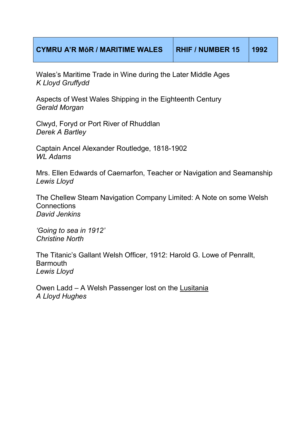Wales's Maritime Trade in Wine during the Later Middle Ages *K Lloyd Gruffydd* 

Aspects of West Wales Shipping in the Eighteenth Century *Gerald Morgan*

Clwyd, Foryd or Port River of Rhuddlan *Derek A Bartley*

Captain Ancel Alexander Routledge, 1818-1902 *WL Adams*

Mrs. Ellen Edwards of Caernarfon, Teacher or Navigation and Seamanship *Lewis Lloyd* 

The Chellew Steam Navigation Company Limited: A Note on some Welsh **Connections** *David Jenkins* 

*'Going to sea in 1912' Christine North*

The Titanic's Gallant Welsh Officer, 1912: Harold G. Lowe of Penrallt, **Barmouth** *Lewis Lloyd*

Owen Ladd – A Welsh Passenger lost on the Lusitania *A Lloyd Hughes*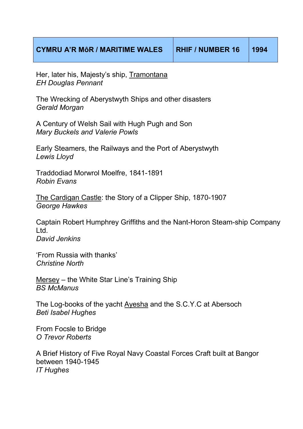Her, later his, Majesty's ship, Tramontana *EH Douglas Pennant*

The Wrecking of Aberystwyth Ships and other disasters *Gerald Morgan*

A Century of Welsh Sail with Hugh Pugh and Son *Mary Buckels and Valerie Powls*

Early Steamers, the Railways and the Port of Aberystwyth *Lewis Lloyd*

Traddodiad Morwrol Moelfre, 1841-1891 *Robin Evans*

The Cardigan Castle: the Story of a Clipper Ship, 1870-1907 *George Hawkes*

Captain Robert Humphrey Griffiths and the Nant-Horon Steam-ship Company Ltd. *David Jenkins*

'From Russia with thanks' *Christine North*

Mersey – the White Star Line's Training Ship *BS McManus*

The Log-books of the yacht Ayesha and the S.C.Y.C at Abersoch *Beti Isabel Hughes*

From Focsle to Bridge *O Trevor Roberts*

A Brief History of Five Royal Navy Coastal Forces Craft built at Bangor between 1940-1945 *IT Hughes*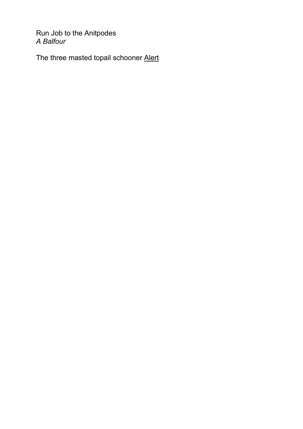Run Job to the Anitpodes *A Balfour* 

The three masted topail schooner Alert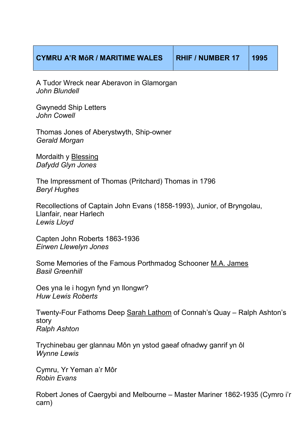## **CYMRU A'R MôR / MARITIME WALES RHIF / NUMBER 17 1995**

A Tudor Wreck near Aberavon in Glamorgan *John Blundell*

Gwynedd Ship Letters *John Cowell*

Thomas Jones of Aberystwyth, Ship-owner *Gerald Morgan*

Mordaith y Blessing *Dafydd Glyn Jones*

The Impressment of Thomas (Pritchard) Thomas in 1796 *Beryl Hughes*

Recollections of Captain John Evans (1858-1993), Junior, of Bryngolau, Llanfair, near Harlech *Lewis Lloyd*

Capten John Roberts 1863-1936 *Eirwen Llewelyn Jones*

Some Memories of the Famous Porthmadog Schooner M.A. James *Basil Greenhill*

Oes yna le i hogyn fynd yn llongwr? *Huw Lewis Roberts* 

Twenty-Four Fathoms Deep Sarah Lathom of Connah's Quay – Ralph Ashton's story *Ralph Ashton*

Trychinebau ger glannau Môn yn ystod gaeaf ofnadwy ganrif yn ôl *Wynne Lewis*

Cymru, Yr Yeman a'r Môr *Robin Evans*

Robert Jones of Caergybi and Melbourne – Master Mariner 1862-1935 (Cymro i'r carn)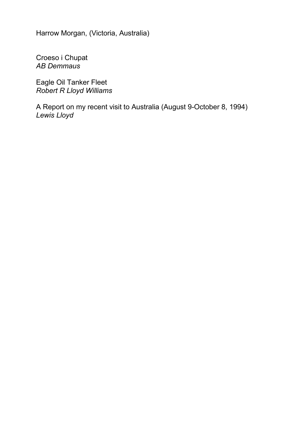Harrow Morgan, (Victoria, Australia)

Croeso i Chupat *AB Demmaus*

Eagle Oil Tanker Fleet *Robert R Lloyd Williams*

A Report on my recent visit to Australia (August 9-October 8, 1994) *Lewis Lloyd*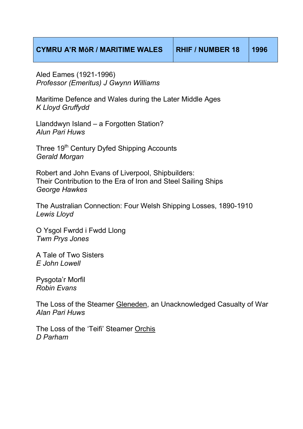| <b>CYMRU A'R MÔR / MARITIME WALES</b> | <b>RHIF / NUMBER 18</b> | 1996 |
|---------------------------------------|-------------------------|------|
|---------------------------------------|-------------------------|------|

Aled Eames (1921-1996) *Professor (Emeritus) J Gwynn Williams*

Maritime Defence and Wales during the Later Middle Ages *K Lloyd Gruffydd*

Llanddwyn Island – a Forgotten Station? *Alun Pari Huws*

Three 19<sup>th</sup> Century Dyfed Shipping Accounts *Gerald Morgan*

Robert and John Evans of Liverpool, Shipbuilders: Their Contribution to the Era of Iron and Steel Sailing Ships *George Hawkes*

The Australian Connection: Four Welsh Shipping Losses, 1890-1910 *Lewis Lloyd*

O Ysgol Fwrdd i Fwdd Llong *Twm Prys Jones*

A Tale of Two Sisters *E John Lowell*

Pysgota'r Morfil *Robin Evans* 

The Loss of the Steamer Gleneden, an Unacknowledged Casualty of War *Alan Pari Huws*

The Loss of the 'Teifi' Steamer Orchis *D Parham*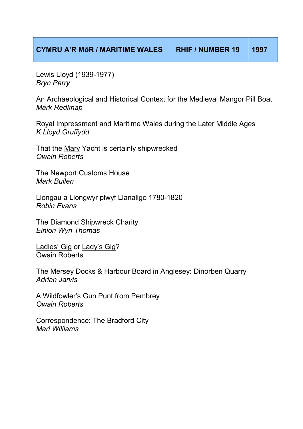| <b>CYMRU A'R MÔR / MARITIME WALES</b> | RHIF / NUMBER 19 | <b>1997</b> |
|---------------------------------------|------------------|-------------|
|                                       |                  |             |

Lewis Lloyd (1939-1977) *Bryn Parry*

An Archaeological and Historical Context for the Medieval Mangor Pill Boat *Mark Redknap*

Royal Impressment and Maritime Wales during the Later Middle Ages *K Lloyd Gruffydd*

That the Mary Yacht is certainly shipwrecked *Owain Roberts*

The Newport Customs House *Mark Bullen*

Llongau a Llongwyr plwyf Llanallgo 1780-1820 *Robin Evans*

The Diamond Shipwreck Charity *Einion Wyn Thomas*

Ladies' Gig or Lady's Gig? Owain Roberts

The Mersey Docks & Harbour Board in Anglesey: Dinorben Quarry *Adrian Jarvis*

A Wildfowler's Gun Punt from Pembrey *Owain Roberts*

Correspondence: The Bradford City *Mari Williams*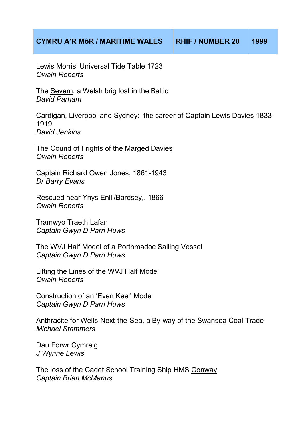Lewis Morris' Universal Tide Table 1723 *Owain Roberts*

The Severn, a Welsh brig lost in the Baltic *David Parham* 

Cardigan, Liverpool and Sydney: the career of Captain Lewis Davies 1833- 1919 *David Jenkins*

The Cound of Frights of the Marged Davies *Owain Roberts*

Captain Richard Owen Jones, 1861-1943 *Dr Barry Evans*

Rescued near Ynys Enlli/Bardsey,. 1866 *Owain Roberts*

Tramwyo Traeth Lafan *Captain Gwyn D Parri Huws* 

The WVJ Half Model of a Porthmadoc Sailing Vessel *Captain Gwyn D Parri Huws* 

Lifting the Lines of the WVJ Half Model *Owain Roberts*

Construction of an 'Even Keel' Model *Captain Gwyn D Parri Huws* 

Anthracite for Wells-Next-the-Sea, a By-way of the Swansea Coal Trade *Michael Stammers*

Dau Forwr Cymreig *J Wynne Lewis*

The loss of the Cadet School Training Ship HMS Conway *Captain Brian McManus*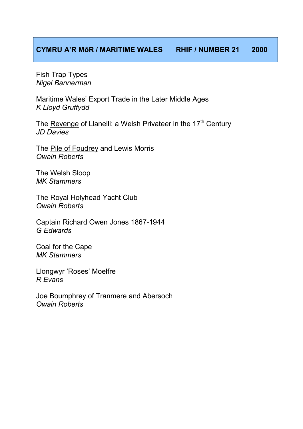Fish Trap Types *Nigel Bannerman*

Maritime Wales' Export Trade in the Later Middle Ages *K Lloyd Gruffydd*

The Revenge of Llanelli: a Welsh Privateer in the 17<sup>th</sup> Century *JD Davies*

The Pile of Foudrey and Lewis Morris *Owain Roberts*

The Welsh Sloop *MK Stammers*

The Royal Holyhead Yacht Club *Owain Roberts*

Captain Richard Owen Jones 1867-1944 *G Edwards*

Coal for the Cape *MK Stammers* 

Llongwyr 'Roses' Moelfre *R Evans* 

Joe Boumphrey of Tranmere and Abersoch *Owain Roberts*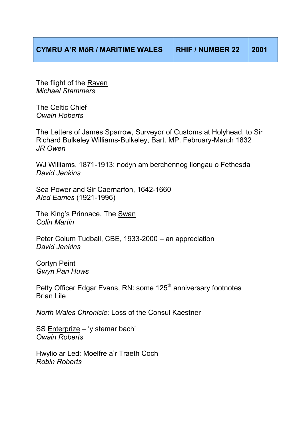The flight of the Raven *Michael Stammers*

The Celtic Chief *Owain Roberts*

The Letters of James Sparrow, Surveyor of Customs at Holyhead, to Sir Richard Bulkeley Williams-Bulkeley, Bart. MP. February-March 1832 *JR Owen*

WJ Williams, 1871-1913: nodyn am berchennog llongau o Fethesda *David Jenkins*

Sea Power and Sir Caernarfon, 1642-1660 *Aled Eames* (1921-1996)

The King's Prinnace, The Swan *Colin Martin* 

Peter Colum Tudball, CBE, 1933-2000 – an appreciation *David Jenkins*

Cortyn Peint *Gwyn Pari Huws* 

Petty Officer Edgar Evans, RN: some 125<sup>th</sup> anniversary footnotes Brian Lile

*North Wales Chronicle:* Loss of the Consul Kaestner

SS Enterprize – 'y stemar bach' *Owain Roberts*

Hwylio ar Led: Moelfre a'r Traeth Coch *Robin Roberts*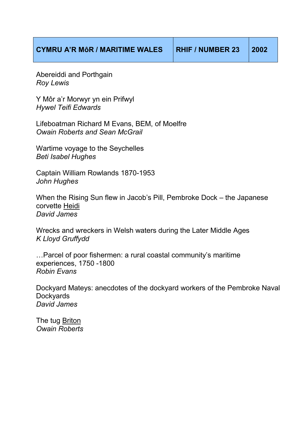|  |  | <b>CYMRU A'R MÔR / MARITIME WALES</b> |  |
|--|--|---------------------------------------|--|
|--|--|---------------------------------------|--|

Abereiddi and Porthgain *Roy Lewis*

Y Môr a'r Morwyr yn ein Prifwyl *Hywel Teifi Edwards*

Lifeboatman Richard M Evans, BEM, of Moelfre *Owain Roberts and Sean McGrail*

Wartime voyage to the Seychelles *Beti Isabel Hughes*

Captain William Rowlands 1870-1953 *John Hughes*

When the Rising Sun flew in Jacob's Pill, Pembroke Dock – the Japanese corvette Heidi *David James*

Wrecks and wreckers in Welsh waters during the Later Middle Ages *K Lloyd Gruffydd*

... Parcel of poor fishermen: a rural coastal community's maritime experiences, 1750 -1800 *Robin Evans*

Dockyard Mateys: anecdotes of the dockyard workers of the Pembroke Naval **Dockyards** *David James*

The tug Briton *Owain Roberts*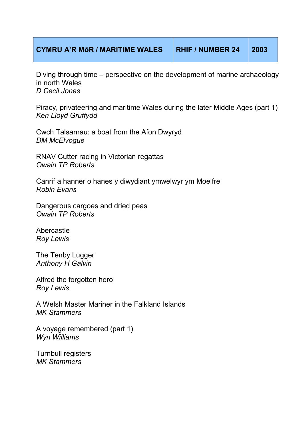## **CYMRU A'R MôR / MARITIME WALES RHIF / NUMBER 24 2003**

Diving through time – perspective on the development of marine archaeology in north Wales *D Cecil Jones*

Piracy, privateering and maritime Wales during the later Middle Ages (part 1) *Ken Lloyd Gruffydd*

Cwch Talsarnau: a boat from the Afon Dwyryd *DM McElvogue*

RNAV Cutter racing in Victorian regattas *Owain TP Roberts* 

Canrif a hanner o hanes y diwydiant ymwelwyr ym Moelfre *Robin Evans*

Dangerous cargoes and dried peas *Owain TP Roberts*

Abercastle *Roy Lewis*

The Tenby Lugger *Anthony H Galvin*

Alfred the forgotten hero *Roy Lewis* 

A Welsh Master Mariner in the Falkland Islands *MK Stammers* 

A voyage remembered (part 1) *Wyn Williams*

Turnbull registers *MK Stammers*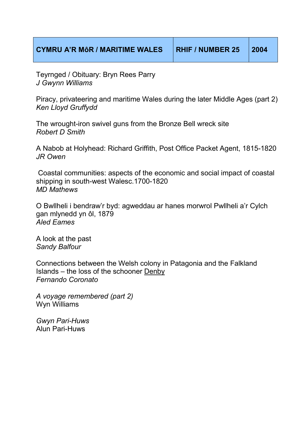Teyrnged / Obituary: Bryn Rees Parry *J Gwynn Williams*

Piracy, privateering and maritime Wales during the later Middle Ages (part 2) *Ken Lloyd Gruffydd*

The wrought-iron swivel guns from the Bronze Bell wreck site *Robert D Smith*

A Nabob at Holyhead: Richard Griffith, Post Office Packet Agent, 1815-1820 *JR Owen*

 Coastal communities: aspects of the economic and social impact of coastal shipping in south-west Walesc.1700-1820 *MD Mathews*

O Bwllheli i bendraw'r byd: agweddau ar hanes morwrol Pwllheli a'r Cylch gan mlynedd yn ôl, 1879 *Aled Eames*

A look at the past *Sandy Balfour*

Connections between the Welsh colony in Patagonia and the Falkland Islands – the loss of the schooner Denby *Fernando Coronato* 

*A voyage remembered (part 2)*  Wyn Williams

*Gwyn Pari-Huws*  Alun Pari-Huws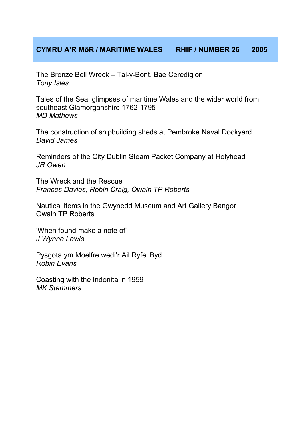The Bronze Bell Wreck – Tal-y-Bont, Bae Ceredigion *Tony Isles* 

Tales of the Sea: glimpses of maritime Wales and the wider world from southeast Glamorganshire 1762-1795 *MD Mathews*

The construction of shipbuilding sheds at Pembroke Naval Dockyard *David James*

Reminders of the City Dublin Steam Packet Company at Holyhead *JR Owen* 

The Wreck and the Rescue *Frances Davies, Robin Craig, Owain TP Roberts*

Nautical items in the Gwynedd Museum and Art Gallery Bangor Owain TP Roberts

'When found make a note of' *J Wynne Lewis*

Pysgota ym Moelfre wedi'r Ail Ryfel Byd *Robin Evans* 

Coasting with the Indonita in 1959 *MK Stammers*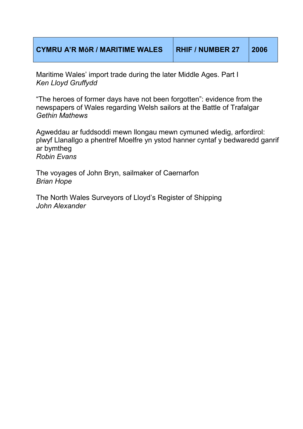| <b>CYMRU A'R MÔR / MARITIME WALES</b> | <b>RHIF / NUMBER 27</b> | 2006 |
|---------------------------------------|-------------------------|------|
|                                       |                         |      |

Maritime Wales' import trade during the later Middle Ages. Part I *Ken Lloyd Gruffydd*

"The heroes of former days have not been forgotten": evidence from the newspapers of Wales regarding Welsh sailors at the Battle of Trafalgar *Gethin Mathews*

Agweddau ar fuddsoddi mewn llongau mewn cymuned wledig, arfordirol: plwyf Llanallgo a phentref Moelfre yn ystod hanner cyntaf y bedwaredd ganrif ar bymtheg *Robin Evans* 

The voyages of John Bryn, sailmaker of Caernarfon *Brian Hope*

The North Wales Surveyors of Lloyd's Register of Shipping *John Alexander*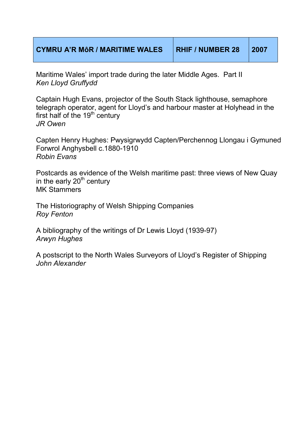| <b>CYMRU A'R MÔR / MARITIME WALES</b> | <b>RHIF / NUMBER 28</b> | $\sqrt{2007}$ |
|---------------------------------------|-------------------------|---------------|
|                                       |                         |               |

Maritime Wales' import trade during the later Middle Ages. Part II *Ken Lloyd Gruffydd* 

Captain Hugh Evans, projector of the South Stack lighthouse, semaphore telegraph operator, agent for Lloyd's and harbour master at Holyhead in the first half of the  $19<sup>th</sup>$  century *JR Owen* 

Capten Henry Hughes: Pwysigrwydd Capten/Perchennog Llongau i Gymuned Forwrol Anghysbell c.1880-1910 *Robin Evans* 

Postcards as evidence of the Welsh maritime past: three views of New Quay in the early  $20<sup>th</sup>$  century MK Stammers

The Historiography of Welsh Shipping Companies *Roy Fenton*

A bibliography of the writings of Dr Lewis Lloyd (1939-97) *Arwyn Hughes* 

A postscript to the North Wales Surveyors of Lloyd's Register of Shipping *John Alexander*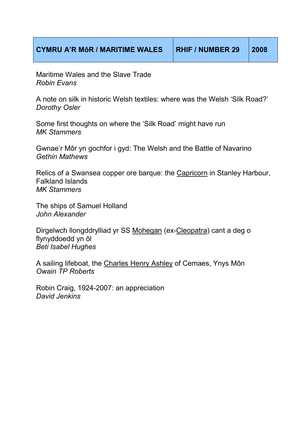Maritime Wales and the Slave Trade *Robin Evans*

A note on silk in historic Welsh textiles: where was the Welsh 'Silk Road?' *Dorothy Osler* 

Some first thoughts on where the 'Silk Road' might have run *MK Stammers*

Gwnae'r Môr yn gochfor i gyd: The Welsh and the Battle of Navarino *Gethin Mathews*

Relics of a Swansea copper ore barque: the Capricorn in Stanley Harbour, Falkland Islands *MK Stammers* 

The ships of Samuel Holland *John Alexander*

Dirgelwch llongddrylliad yr SS Mohegan (ex-Cleopatra) cant a deg o flynyddoedd yn ôl *Beti Isabel Hughes* 

A sailing lifeboat, the Charles Henry Ashley of Cemaes, Ynys Môn *Owain TP Roberts* 

Robin Craig, 1924-2007: an appreciation *David Jenkins*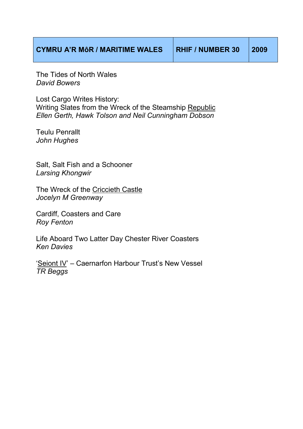The Tides of North Wales *David Bowers*

Lost Cargo Writes History: Writing Slates from the Wreck of the Steamship Republic *Ellen Gerth, Hawk Tolson and Neil Cunningham Dobson*

Teulu Penrallt *John Hughes* 

Salt, Salt Fish and a Schooner *Larsing Khongwir*

The Wreck of the Criccieth Castle *Jocelyn M Greenway* 

Cardiff, Coasters and Care *Roy Fenton*

Life Aboard Two Latter Day Chester River Coasters *Ken Davies* 

'Seiont IV' – Caernarfon Harbour Trust's New Vessel *TR Beggs*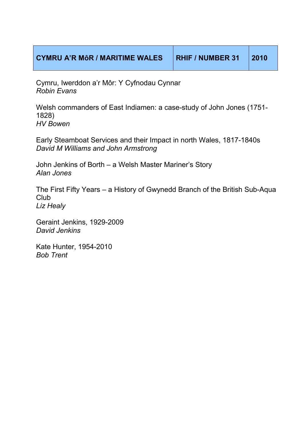Cymru, Iwerddon a'r Môr: Y Cyfnodau Cynnar *Robin Evans* 

Welsh commanders of East Indiamen: a case-study of John Jones (1751- 1828) *HV Bowen*

Early Steamboat Services and their Impact in north Wales, 1817-1840s *David M Williams and John Armstrong*

John Jenkins of Borth – a Welsh Master Mariner's Story *Alan Jones*

The First Fifty Years – a History of Gwynedd Branch of the British Sub-Aqua **Club** *Liz Healy*

Geraint Jenkins, 1929-2009 *David Jenkins*

Kate Hunter, 1954-2010 *Bob Trent*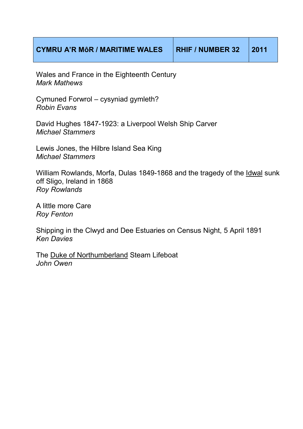| <b>CYMRU A'R MÔR / MARITIME WALES</b> | <b>RHIF / NUMBER 32</b> |  |
|---------------------------------------|-------------------------|--|
|---------------------------------------|-------------------------|--|

Wales and France in the Eighteenth Century *Mark Mathews* 

Cymuned Forwrol – cysyniad gymleth? *Robin Evans*

David Hughes 1847-1923: a Liverpool Welsh Ship Carver *Michael Stammers* 

Lewis Jones, the Hilbre Island Sea King *Michael Stammers*

William Rowlands, Morfa, Dulas 1849-1868 and the tragedy of the Idwal sunk off Sligo, Ireland in 1868 *Roy Rowlands* 

A little more Care *Roy Fenton* 

Shipping in the Clwyd and Dee Estuaries on Census Night, 5 April 1891 *Ken Davies* 

The Duke of Northumberland Steam Lifeboat *John Owen*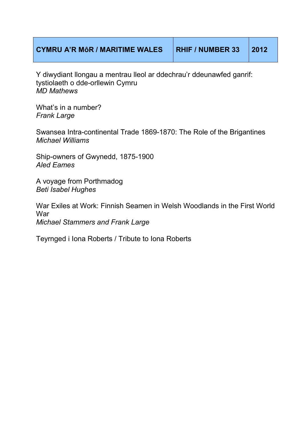## **CYMRU A'R MôR / MARITIME WALES RHIF / NUMBER 33 2012**

Y diwydiant llongau a mentrau lleol ar ddechrau'r ddeunawfed ganrif: tystiolaeth o dde-orllewin Cymru *MD Mathews* 

What's in a number? *Frank Large* 

Swansea Intra-continental Trade 1869-1870: The Role of the Brigantines *Michael Williams*

Ship-owners of Gwynedd, 1875-1900 *Aled Eames*

A voyage from Porthmadog *Beti Isabel Hughes*

War Exiles at Work: Finnish Seamen in Welsh Woodlands in the First World War *Michael Stammers and Frank Large*

Teyrnged i Iona Roberts / Tribute to Iona Roberts